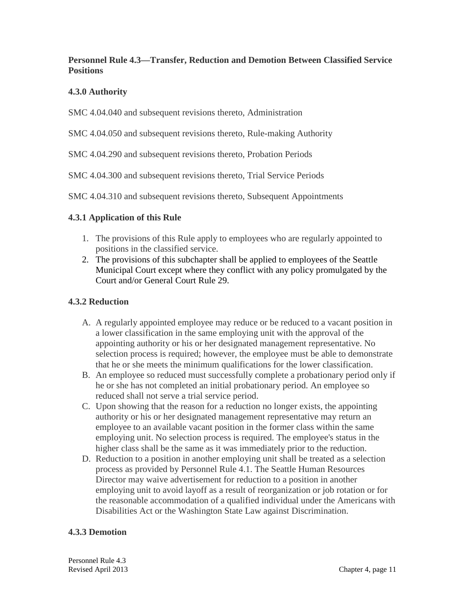### **Personnel Rule 4.3—Transfer, Reduction and Demotion Between Classified Service Positions**

# **4.3.0 Authority**

SMC 4.04.040 and subsequent revisions thereto, Administration

SMC 4.04.050 and subsequent revisions thereto, Rule-making Authority

SMC 4.04.290 and subsequent revisions thereto, Probation Periods

SMC 4.04.300 and subsequent revisions thereto, Trial Service Periods

SMC 4.04.310 and subsequent revisions thereto, Subsequent Appointments

#### **4.3.1 Application of this Rule**

- 1. The provisions of this Rule apply to employees who are regularly appointed to positions in the classified service.
- 2. The provisions of this subchapter shall be applied to employees of the Seattle Municipal Court except where they conflict with any policy promulgated by the Court and/or General Court Rule 29.

# **4.3.2 Reduction**

- A. A regularly appointed employee may reduce or be reduced to a vacant position in a lower classification in the same employing unit with the approval of the appointing authority or his or her designated management representative. No selection process is required; however, the employee must be able to demonstrate that he or she meets the minimum qualifications for the lower classification.
- B. An employee so reduced must successfully complete a probationary period only if he or she has not completed an initial probationary period. An employee so reduced shall not serve a trial service period.
- C. Upon showing that the reason for a reduction no longer exists, the appointing authority or his or her designated management representative may return an employee to an available vacant position in the former class within the same employing unit. No selection process is required. The employee's status in the higher class shall be the same as it was immediately prior to the reduction.
- D. Reduction to a position in another employing unit shall be treated as a selection process as provided by Personnel Rule 4.1. The Seattle Human Resources Director may waive advertisement for reduction to a position in another employing unit to avoid layoff as a result of reorganization or job rotation or for the reasonable accommodation of a qualified individual under the Americans with Disabilities Act or the Washington State Law against Discrimination.

#### **4.3.3 Demotion**